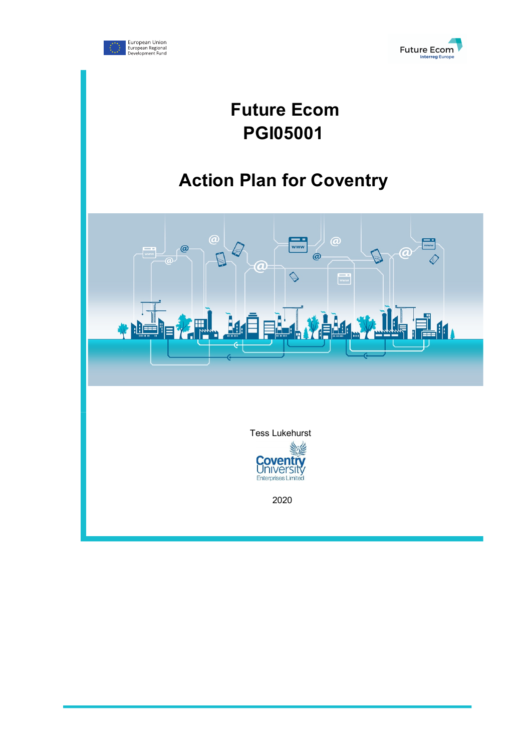



# **Future Ecom PGI05001**

# **Action Plan for Coventry**

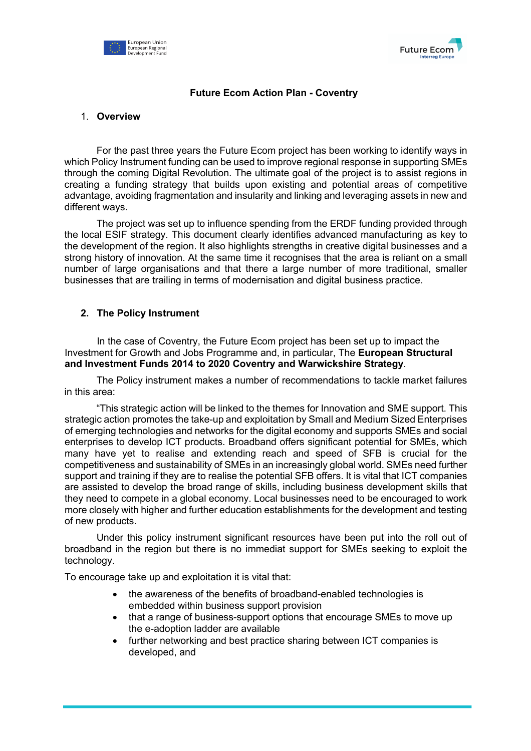



## **Future Ecom Action Plan - Coventry**

#### 1. **Overview**

For the past three years the Future Ecom project has been working to identify ways in which Policy Instrument funding can be used to improve regional response in supporting SMEs through the coming Digital Revolution. The ultimate goal of the project is to assist regions in creating a funding strategy that builds upon existing and potential areas of competitive advantage, avoiding fragmentation and insularity and linking and leveraging assets in new and different ways.

The project was set up to influence spending from the ERDF funding provided through the local ESIF strategy. This document clearly identifies advanced manufacturing as key to the development of the region. It also highlights strengths in creative digital businesses and a strong history of innovation. At the same time it recognises that the area is reliant on a small number of large organisations and that there a large number of more traditional, smaller businesses that are trailing in terms of modernisation and digital business practice.

## **2. The Policy Instrument**

In the case of Coventry, the Future Ecom project has been set up to impact the Investment for Growth and Jobs Programme and, in particular, The **European Structural and Investment Funds 2014 to 2020 Coventry and Warwickshire Strategy**.

The Policy instrument makes a number of recommendations to tackle market failures in this area:

"This strategic action will be linked to the themes for Innovation and SME support. This strategic action promotes the take-up and exploitation by Small and Medium Sized Enterprises of emerging technologies and networks for the digital economy and supports SMEs and social enterprises to develop ICT products. Broadband offers significant potential for SMEs, which many have yet to realise and extending reach and speed of SFB is crucial for the competitiveness and sustainability of SMEs in an increasingly global world. SMEs need further support and training if they are to realise the potential SFB offers. It is vital that ICT companies are assisted to develop the broad range of skills, including business development skills that they need to compete in a global economy. Local businesses need to be encouraged to work more closely with higher and further education establishments for the development and testing of new products.

Under this policy instrument significant resources have been put into the roll out of broadband in the region but there is no immediat support for SMEs seeking to exploit the technology.

To encourage take up and exploitation it is vital that:

- the awareness of the benefits of broadband-enabled technologies is embedded within business support provision
- that a range of business-support options that encourage SMEs to move up the e-adoption ladder are available
- further networking and best practice sharing between ICT companies is developed, and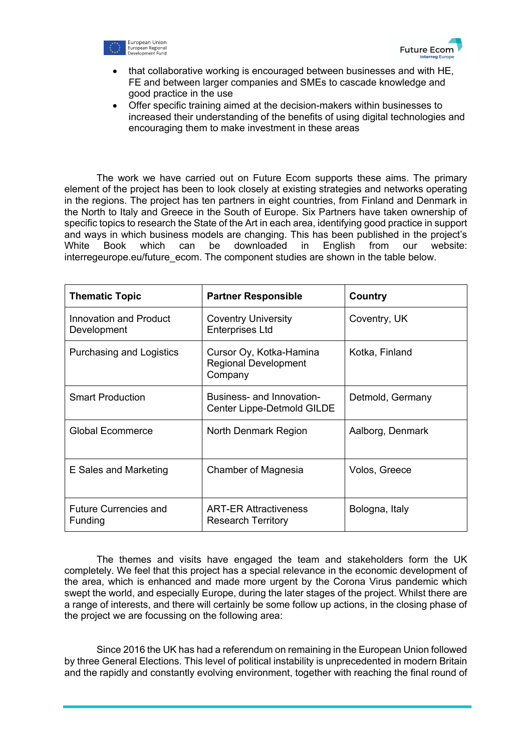



- that collaborative working is encouraged between businesses and with HE, FE and between larger companies and SMEs to cascade knowledge and good practice in the use
- Offer specific training aimed at the decision-makers within businesses to increased their understanding of the benefits of using digital technologies and encouraging them to make investment in these areas

The work we have carried out on Future Ecom supports these aims. The primary element of the project has been to look closely at existing strategies and networks operating in the regions. The project has ten partners in eight countries, from Finland and Denmark in the North to Italy and Greece in the South of Europe. Six Partners have taken ownership of specific topics to research the State of the Art in each area, identifying good practice in support and ways in which business models are changing. This has been published in the project's White Book which can be downloaded in English from our website: interregeurope.eu/future\_ecom. The component studies are shown in the table below.

| <b>Thematic Topic</b>                   | <b>Partner Responsible</b>                                        | Country          |
|-----------------------------------------|-------------------------------------------------------------------|------------------|
| Innovation and Product<br>Development   | <b>Coventry University</b><br><b>Enterprises Ltd</b>              | Coventry, UK     |
| Purchasing and Logistics                | Cursor Oy, Kotka-Hamina<br><b>Regional Development</b><br>Company | Kotka, Finland   |
| <b>Smart Production</b>                 | Business- and Innovation-<br>Center Lippe-Detmold GILDE           | Detmold, Germany |
| <b>Global Ecommerce</b>                 | North Denmark Region                                              | Aalborg, Denmark |
| E Sales and Marketing                   | Chamber of Magnesia                                               | Volos, Greece    |
| <b>Future Currencies and</b><br>Funding | <b>ART-ER Attractiveness</b><br><b>Research Territory</b>         | Bologna, Italy   |

The themes and visits have engaged the team and stakeholders form the UK completely. We feel that this project has a special relevance in the economic development of the area, which is enhanced and made more urgent by the Corona Virus pandemic which swept the world, and especially Europe, during the later stages of the project. Whilst there are a range of interests, and there will certainly be some follow up actions, in the closing phase of the project we are focussing on the following area:

Since 2016 the UK has had a referendum on remaining in the European Union followed by three General Elections. This level of political instability is unprecedented in modern Britain and the rapidly and constantly evolving environment, together with reaching the final round of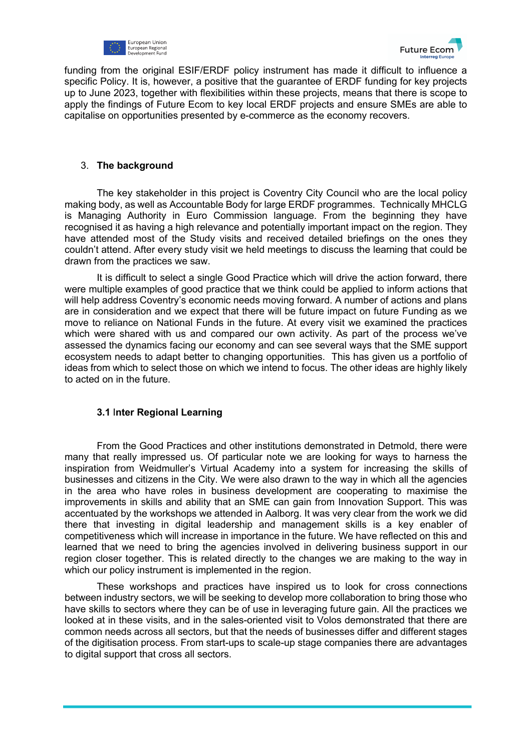



funding from the original ESIF/ERDF policy instrument has made it difficult to influence a specific Policy. It is, however, a positive that the guarantee of ERDF funding for key projects up to June 2023, together with flexibilities within these projects, means that there is scope to apply the findings of Future Ecom to key local ERDF projects and ensure SMEs are able to capitalise on opportunities presented by e-commerce as the economy recovers.

#### 3. **The background**

The key stakeholder in this project is Coventry City Council who are the local policy making body, as well as Accountable Body for large ERDF programmes. Technically MHCLG is Managing Authority in Euro Commission language. From the beginning they have recognised it as having a high relevance and potentially important impact on the region. They have attended most of the Study visits and received detailed briefings on the ones they couldn't attend. After every study visit we held meetings to discuss the learning that could be drawn from the practices we saw.

It is difficult to select a single Good Practice which will drive the action forward, there were multiple examples of good practice that we think could be applied to inform actions that will help address Coventry's economic needs moving forward. A number of actions and plans are in consideration and we expect that there will be future impact on future Funding as we move to reliance on National Funds in the future. At every visit we examined the practices which were shared with us and compared our own activity. As part of the process we've assessed the dynamics facing our economy and can see several ways that the SME support ecosystem needs to adapt better to changing opportunities. This has given us a portfolio of ideas from which to select those on which we intend to focus. The other ideas are highly likely to acted on in the future.

#### **3.1** I**nter Regional Learning**

From the Good Practices and other institutions demonstrated in Detmold, there were many that really impressed us. Of particular note we are looking for ways to harness the inspiration from Weidmuller's Virtual Academy into a system for increasing the skills of businesses and citizens in the City. We were also drawn to the way in which all the agencies in the area who have roles in business development are cooperating to maximise the improvements in skills and ability that an SME can gain from Innovation Support. This was accentuated by the workshops we attended in Aalborg. It was very clear from the work we did there that investing in digital leadership and management skills is a key enabler of competitiveness which will increase in importance in the future. We have reflected on this and learned that we need to bring the agencies involved in delivering business support in our region closer together. This is related directly to the changes we are making to the way in which our policy instrument is implemented in the region.

These workshops and practices have inspired us to look for cross connections between industry sectors, we will be seeking to develop more collaboration to bring those who have skills to sectors where they can be of use in leveraging future gain. All the practices we looked at in these visits, and in the sales-oriented visit to Volos demonstrated that there are common needs across all sectors, but that the needs of businesses differ and different stages of the digitisation process. From start-ups to scale-up stage companies there are advantages to digital support that cross all sectors.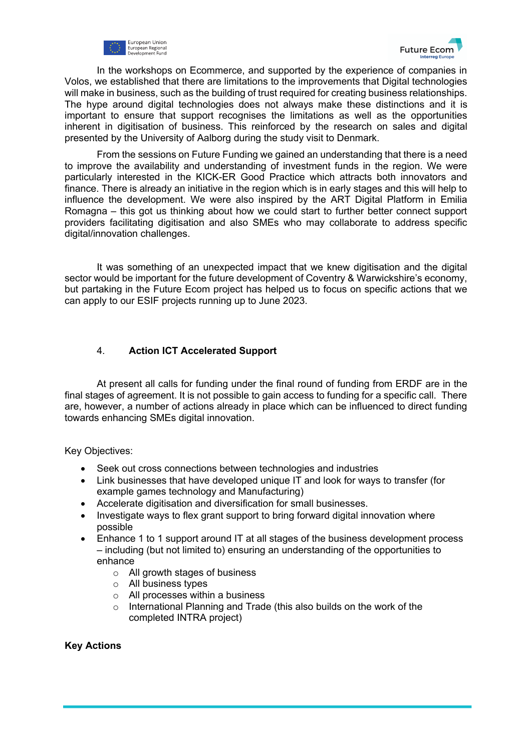



In the workshops on Ecommerce, and supported by the experience of companies in Volos, we established that there are limitations to the improvements that Digital technologies will make in business, such as the building of trust required for creating business relationships. The hype around digital technologies does not always make these distinctions and it is important to ensure that support recognises the limitations as well as the opportunities inherent in digitisation of business. This reinforced by the research on sales and digital presented by the University of Aalborg during the study visit to Denmark.

From the sessions on Future Funding we gained an understanding that there is a need to improve the availability and understanding of investment funds in the region. We were particularly interested in the KICK-ER Good Practice which attracts both innovators and finance. There is already an initiative in the region which is in early stages and this will help to influence the development. We were also inspired by the ART Digital Platform in Emilia Romagna – this got us thinking about how we could start to further better connect support providers facilitating digitisation and also SMEs who may collaborate to address specific digital/innovation challenges.

It was something of an unexpected impact that we knew digitisation and the digital sector would be important for the future development of Coventry & Warwickshire's economy, but partaking in the Future Ecom project has helped us to focus on specific actions that we can apply to our ESIF projects running up to June 2023.

# 4. **Action ICT Accelerated Support**

At present all calls for funding under the final round of funding from ERDF are in the final stages of agreement. It is not possible to gain access to funding for a specific call. There are, however, a number of actions already in place which can be influenced to direct funding towards enhancing SMEs digital innovation.

Key Objectives:

- Seek out cross connections between technologies and industries
- Link businesses that have developed unique IT and look for ways to transfer (for example games technology and Manufacturing)
- Accelerate digitisation and diversification for small businesses.
- Investigate ways to flex grant support to bring forward digital innovation where possible
- Enhance 1 to 1 support around IT at all stages of the business development process – including (but not limited to) ensuring an understanding of the opportunities to enhance
	- o All growth stages of business
	- o All business types
	- o All processes within a business
	- o International Planning and Trade (this also builds on the work of the completed INTRA project)

## **Key Actions**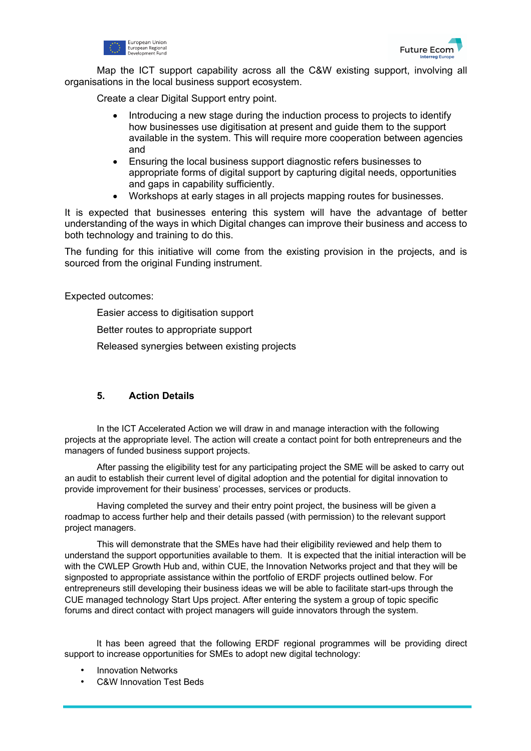



Map the ICT support capability across all the C&W existing support, involving all organisations in the local business support ecosystem.

Create a clear Digital Support entry point.

- Introducing a new stage during the induction process to projects to identify how businesses use digitisation at present and guide them to the support available in the system. This will require more cooperation between agencies and
- Ensuring the local business support diagnostic refers businesses to appropriate forms of digital support by capturing digital needs, opportunities and gaps in capability sufficiently.
- Workshops at early stages in all projects mapping routes for businesses.

It is expected that businesses entering this system will have the advantage of better understanding of the ways in which Digital changes can improve their business and access to both technology and training to do this.

The funding for this initiative will come from the existing provision in the projects, and is sourced from the original Funding instrument.

Expected outcomes:

Easier access to digitisation support

Better routes to appropriate support

Released synergies between existing projects

## **5. Action Details**

In the ICT Accelerated Action we will draw in and manage interaction with the following projects at the appropriate level. The action will create a contact point for both entrepreneurs and the managers of funded business support projects.

After passing the eligibility test for any participating project the SME will be asked to carry out an audit to establish their current level of digital adoption and the potential for digital innovation to provide improvement for their business' processes, services or products.

Having completed the survey and their entry point project, the business will be given a roadmap to access further help and their details passed (with permission) to the relevant support project managers.

This will demonstrate that the SMEs have had their eligibility reviewed and help them to understand the support opportunities available to them. It is expected that the initial interaction will be with the CWLEP Growth Hub and, within CUE, the Innovation Networks project and that they will be signposted to appropriate assistance within the portfolio of ERDF projects outlined below. For entrepreneurs still developing their business ideas we will be able to facilitate start-ups through the CUE managed technology Start Ups project. After entering the system a group of topic specific forums and direct contact with project managers will guide innovators through the system.

It has been agreed that the following ERDF regional programmes will be providing direct support to increase opportunities for SMEs to adopt new digital technology:

- Innovation Networks
- C&W Innovation Test Beds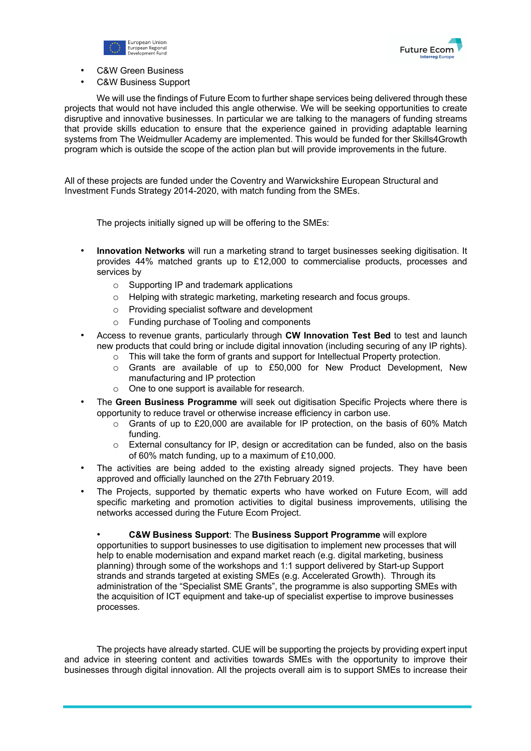



- C&W Green Business
- C&W Business Support

We will use the findings of Future Ecom to further shape services being delivered through these projects that would not have included this angle otherwise. We will be seeking opportunities to create disruptive and innovative businesses. In particular we are talking to the managers of funding streams that provide skills education to ensure that the experience gained in providing adaptable learning systems from The Weidmuller Academy are implemented. This would be funded for ther Skills4Growth program which is outside the scope of the action plan but will provide improvements in the future.

All of these projects are funded under the Coventry and Warwickshire European Structural and Investment Funds Strategy 2014-2020, with match funding from the SMEs.

The projects initially signed up will be offering to the SMEs:

- **Innovation Networks** will run a marketing strand to target businesses seeking digitisation. It provides 44% matched grants up to £12,000 to commercialise products, processes and services by
	- o Supporting IP and trademark applications
	- o Helping with strategic marketing, marketing research and focus groups.
	- o Providing specialist software and development
	- o Funding purchase of Tooling and components
- Access to revenue grants, particularly through **CW Innovation Test Bed** to test and launch new products that could bring or include digital innovation (including securing of any IP rights).
	- o This will take the form of grants and support for Intellectual Property protection.
	- o Grants are available of up to £50,000 for New Product Development, New manufacturing and IP protection
	- o One to one support is available for research.
- The **Green Business Programme** will seek out digitisation Specific Projects where there is opportunity to reduce travel or otherwise increase efficiency in carbon use.
	- $\circ$  Grants of up to £20,000 are available for IP protection, on the basis of 60% Match funding.
	- o External consultancy for IP, design or accreditation can be funded, also on the basis of 60% match funding, up to a maximum of £10,000.
- The activities are being added to the existing already signed projects. They have been approved and officially launched on the 27th February 2019.
- The Projects, supported by thematic experts who have worked on Future Ecom, will add specific marketing and promotion activities to digital business improvements, utilising the networks accessed during the Future Ecom Project.

• **C&W Business Support**: The **Business Support Programme** will explore opportunities to support businesses to use digitisation to implement new processes that will help to enable modernisation and expand market reach (e.g. digital marketing, business planning) through some of the workshops and 1:1 support delivered by Start-up Support strands and strands targeted at existing SMEs (e.g. Accelerated Growth). Through its administration of the "Specialist SME Grants", the programme is also supporting SMEs with the acquisition of ICT equipment and take-up of specialist expertise to improve businesses processes.

The projects have already started. CUE will be supporting the projects by providing expert input and advice in steering content and activities towards SMEs with the opportunity to improve their businesses through digital innovation. All the projects overall aim is to support SMEs to increase their